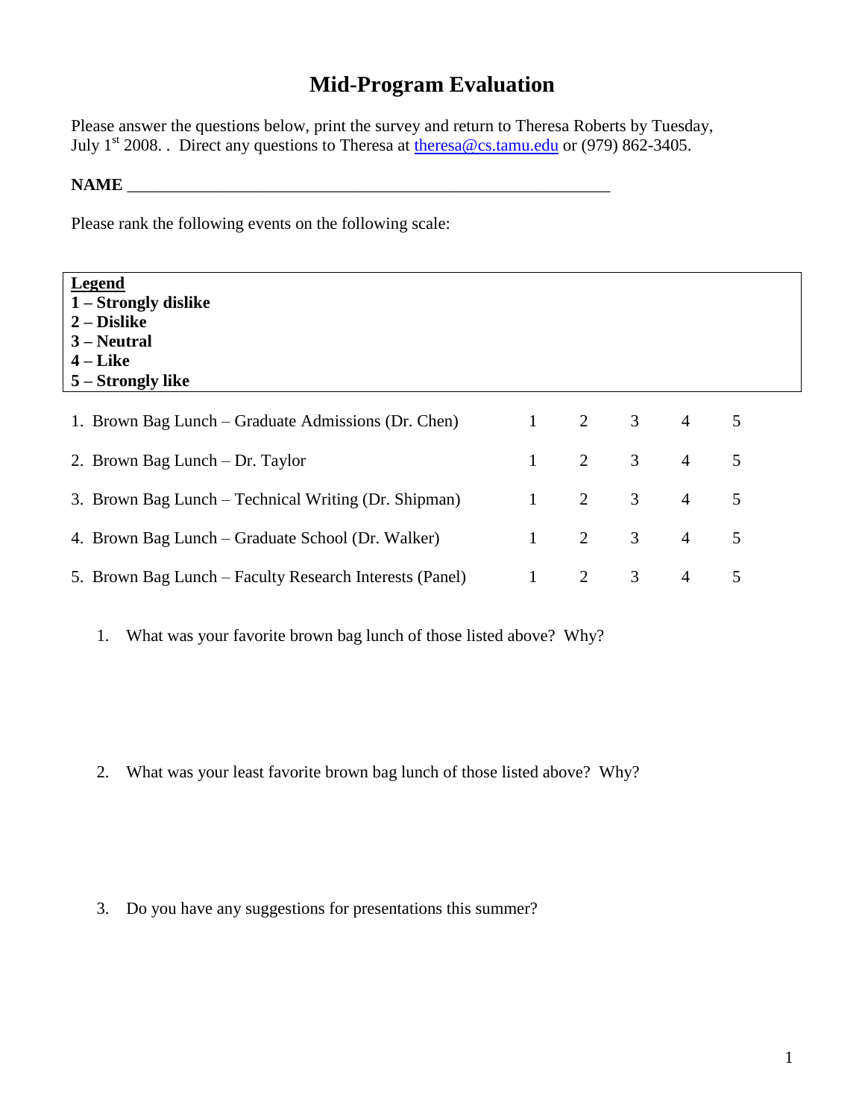## **Mid-Program Evaluation**

Please answer the questions below, print the survey and return to Theresa Roberts by Tuesday, July 1<sup>st</sup> 2008. . Direct any questions to Theresa at  $\underline{theresa@cs.tamu.edu}$  or (979) 862-3405.

## **NAME** \_\_\_\_\_\_\_\_\_\_\_\_\_\_\_\_\_\_\_\_\_\_\_\_\_\_\_\_\_\_\_\_\_\_\_\_\_\_\_\_\_\_\_\_\_\_\_\_\_\_\_\_\_\_\_\_\_

Please rank the following events on the following scale:

| Legend<br>1 – Strongly dislike<br>$2 - Distike$<br>$3 - Neutral$<br>$4$ – Like<br>5 – Strongly like |              |             |                |                |   |
|-----------------------------------------------------------------------------------------------------|--------------|-------------|----------------|----------------|---|
| 1. Brown Bag Lunch – Graduate Admissions (Dr. Chen)                                                 | 1            | 2           | $\mathfrak{Z}$ | $\overline{4}$ | 5 |
| 2. Brown Bag Lunch – Dr. Taylor                                                                     | $\mathbf{1}$ | 2           | $\mathfrak{Z}$ | $\overline{4}$ | 5 |
| 3. Brown Bag Lunch – Technical Writing (Dr. Shipman)                                                | $\mathbf{1}$ | $2^{\circ}$ | $\mathfrak{Z}$ | $\overline{4}$ | 5 |
| 4. Brown Bag Lunch – Graduate School (Dr. Walker)                                                   | $\mathbf{1}$ | 2           | $\mathfrak{Z}$ | $\overline{4}$ | 5 |
| 5. Brown Bag Lunch – Faculty Research Interests (Panel)                                             | 1            | 2           | 3              | $\overline{4}$ | 5 |

1. What was your favorite brown bag lunch of those listed above? Why?

2. What was your least favorite brown bag lunch of those listed above? Why?

3. Do you have any suggestions for presentations this summer?